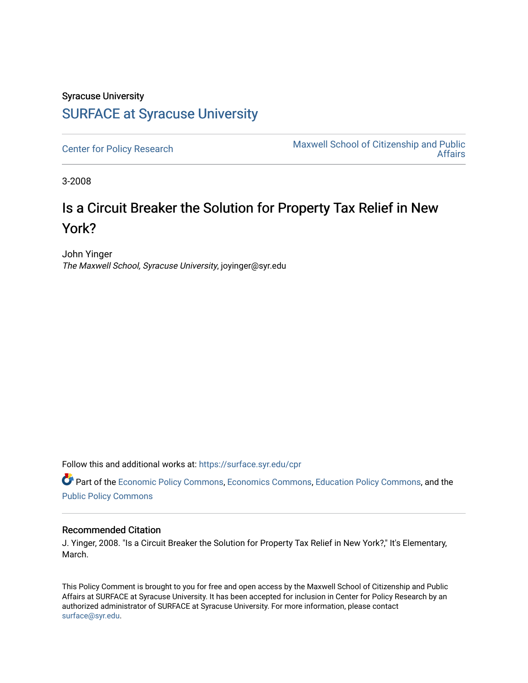## Syracuse University [SURFACE at Syracuse University](https://surface.syr.edu/)

[Center for Policy Research](https://surface.syr.edu/cpr) Maxwell School of Citizenship and Public<br>Affairs [Affairs](https://surface.syr.edu/maxwell) 

3-2008

## Is a Circuit Breaker the Solution for Property Tax Relief in New York?

John Yinger The Maxwell School, Syracuse University, joyinger@syr.edu

Follow this and additional works at: [https://surface.syr.edu/cpr](https://surface.syr.edu/cpr?utm_source=surface.syr.edu%2Fcpr%2F319&utm_medium=PDF&utm_campaign=PDFCoverPages) 

Part of the [Economic Policy Commons](http://network.bepress.com/hgg/discipline/1025?utm_source=surface.syr.edu%2Fcpr%2F319&utm_medium=PDF&utm_campaign=PDFCoverPages), [Economics Commons,](http://network.bepress.com/hgg/discipline/340?utm_source=surface.syr.edu%2Fcpr%2F319&utm_medium=PDF&utm_campaign=PDFCoverPages) [Education Policy Commons](http://network.bepress.com/hgg/discipline/1026?utm_source=surface.syr.edu%2Fcpr%2F319&utm_medium=PDF&utm_campaign=PDFCoverPages), and the [Public Policy Commons](http://network.bepress.com/hgg/discipline/400?utm_source=surface.syr.edu%2Fcpr%2F319&utm_medium=PDF&utm_campaign=PDFCoverPages)

## Recommended Citation

J. Yinger, 2008. "Is a Circuit Breaker the Solution for Property Tax Relief in New York?," It's Elementary, March.

This Policy Comment is brought to you for free and open access by the Maxwell School of Citizenship and Public Affairs at SURFACE at Syracuse University. It has been accepted for inclusion in Center for Policy Research by an authorized administrator of SURFACE at Syracuse University. For more information, please contact [surface@syr.edu.](mailto:surface@syr.edu)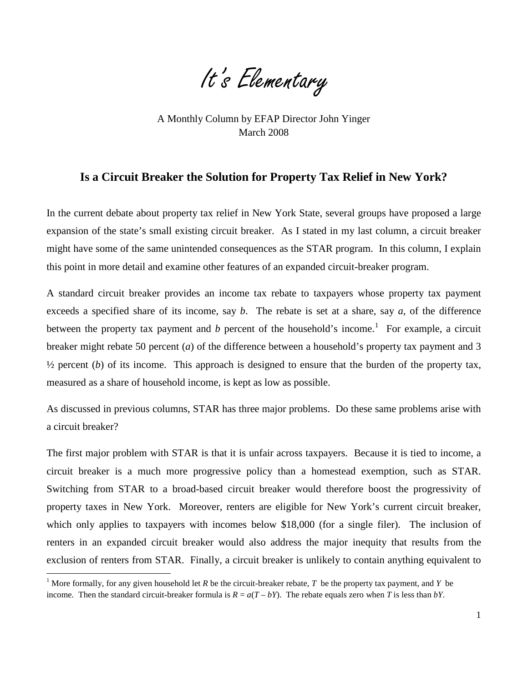It's Elementary

A Monthly Column by EFAP Director John Yinger March 2008

## **Is a Circuit Breaker the Solution for Property Tax Relief in New York?**

In the current debate about property tax relief in New York State, several groups have proposed a large expansion of the state's small existing circuit breaker. As I stated in my last column, a circuit breaker might have some of the same unintended consequences as the STAR program. In this column, I explain this point in more detail and examine other features of an expanded circuit-breaker program.

A standard circuit breaker provides an income tax rebate to taxpayers whose property tax payment exceeds a specified share of its income, say *b*. The rebate is set at a share, say *a*, of the difference between the property tax payment and  $b$  percent of the household's income.<sup>[1](#page-1-0)</sup> For example, a circuit breaker might rebate 50 percent (*a*) of the difference between a household's property tax payment and 3  $\frac{1}{2}$  percent (*b*) of its income. This approach is designed to ensure that the burden of the property tax, measured as a share of household income, is kept as low as possible.

As discussed in previous columns, STAR has three major problems. Do these same problems arise with a circuit breaker?

The first major problem with STAR is that it is unfair across taxpayers. Because it is tied to income, a circuit breaker is a much more progressive policy than a homestead exemption, such as STAR. Switching from STAR to a broad-based circuit breaker would therefore boost the progressivity of property taxes in New York. Moreover, renters are eligible for New York's current circuit breaker, which only applies to taxpayers with incomes below \$18,000 (for a single filer). The inclusion of renters in an expanded circuit breaker would also address the major inequity that results from the exclusion of renters from STAR. Finally, a circuit breaker is unlikely to contain anything equivalent to

 $\overline{a}$ 

<span id="page-1-0"></span><sup>&</sup>lt;sup>1</sup> More formally, for any given household let *R* be the circuit-breaker rebate, *T* be the property tax payment, and *Y* be income. Then the standard circuit-breaker formula is  $R = a(T - bY)$ . The rebate equals zero when *T* is less than *bY*.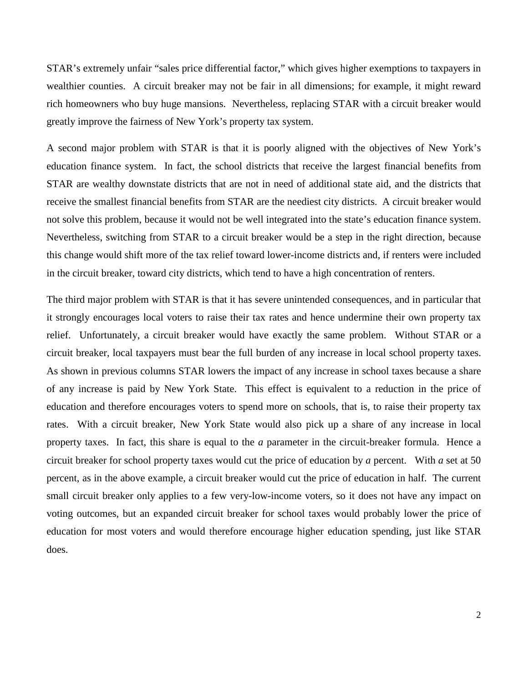STAR's extremely unfair "sales price differential factor," which gives higher exemptions to taxpayers in wealthier counties. A circuit breaker may not be fair in all dimensions; for example, it might reward rich homeowners who buy huge mansions. Nevertheless, replacing STAR with a circuit breaker would greatly improve the fairness of New York's property tax system.

A second major problem with STAR is that it is poorly aligned with the objectives of New York's education finance system. In fact, the school districts that receive the largest financial benefits from STAR are wealthy downstate districts that are not in need of additional state aid, and the districts that receive the smallest financial benefits from STAR are the neediest city districts. A circuit breaker would not solve this problem, because it would not be well integrated into the state's education finance system. Nevertheless, switching from STAR to a circuit breaker would be a step in the right direction, because this change would shift more of the tax relief toward lower-income districts and, if renters were included in the circuit breaker, toward city districts, which tend to have a high concentration of renters.

The third major problem with STAR is that it has severe unintended consequences, and in particular that it strongly encourages local voters to raise their tax rates and hence undermine their own property tax relief. Unfortunately, a circuit breaker would have exactly the same problem. Without STAR or a circuit breaker, local taxpayers must bear the full burden of any increase in local school property taxes. As shown in previous columns STAR lowers the impact of any increase in school taxes because a share of any increase is paid by New York State. This effect is equivalent to a reduction in the price of education and therefore encourages voters to spend more on schools, that is, to raise their property tax rates. With a circuit breaker, New York State would also pick up a share of any increase in local property taxes. In fact, this share is equal to the *a* parameter in the circuit-breaker formula. Hence a circuit breaker for school property taxes would cut the price of education by *a* percent. With *a* set at 50 percent, as in the above example, a circuit breaker would cut the price of education in half. The current small circuit breaker only applies to a few very-low-income voters, so it does not have any impact on voting outcomes, but an expanded circuit breaker for school taxes would probably lower the price of education for most voters and would therefore encourage higher education spending, just like STAR does.